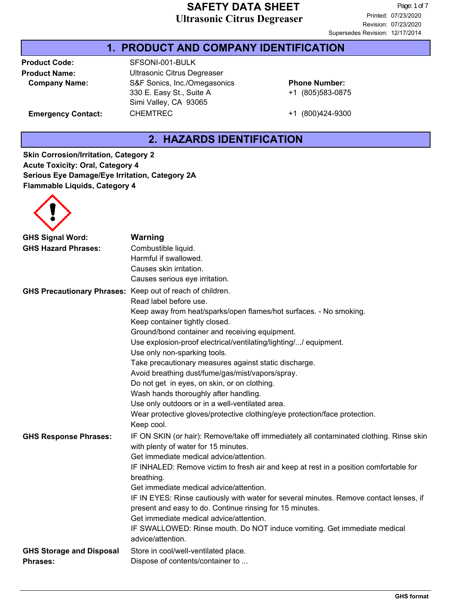#### **1. PRODUCT AND COMPANY IDENTIFICATION**

Product Code: SFSONI-001-BULK

**Product Name:** Ultrasonic Citrus Degreaser **Company Name:** S&F Sonics, Inc./Omegasonics 330 E. Easy St., Suite A Simi Valley, CA 93065 Emergency Contact: CHEMTREC +1 (800)424-9300

+1 (805)583-0875 **Phone Number:**

## **2. HAZARDS IDENTIFICATION**

**Skin Corrosion/Irritation, Category 2 Acute Toxicity: Oral, Category 4 Serious Eye Damage/Eye Irritation, Category 2A Flammable Liquids, Category 4**



| <b>GHS Signal Word:</b>           | <b>Warning</b>                                                                                                                  |
|-----------------------------------|---------------------------------------------------------------------------------------------------------------------------------|
| <b>GHS Hazard Phrases:</b>        | Combustible liquid.                                                                                                             |
|                                   | Harmful if swallowed.                                                                                                           |
|                                   | Causes skin irritation.                                                                                                         |
|                                   | Causes serious eye irritation.                                                                                                  |
| <b>GHS Precautionary Phrases:</b> | Keep out of reach of children.                                                                                                  |
|                                   | Read label before use.                                                                                                          |
|                                   | Keep away from heat/sparks/open flames/hot surfaces. - No smoking.                                                              |
|                                   | Keep container tightly closed.                                                                                                  |
|                                   | Ground/bond container and receiving equipment.                                                                                  |
|                                   | Use explosion-proof electrical/ventilating/lighting// equipment.                                                                |
|                                   | Use only non-sparking tools.                                                                                                    |
|                                   | Take precautionary measures against static discharge.                                                                           |
|                                   | Avoid breathing dust/fume/gas/mist/vapors/spray.                                                                                |
|                                   | Do not get in eyes, on skin, or on clothing.                                                                                    |
|                                   | Wash hands thoroughly after handling.                                                                                           |
|                                   | Use only outdoors or in a well-ventilated area.                                                                                 |
|                                   | Wear protective gloves/protective clothing/eye protection/face protection.                                                      |
|                                   | Keep cool.                                                                                                                      |
| <b>GHS Response Phrases:</b>      | IF ON SKIN (or hair): Remove/take off immediately all contaminated clothing. Rinse skin<br>with plenty of water for 15 minutes. |
|                                   | Get immediate medical advice/attention.                                                                                         |
|                                   | IF INHALED: Remove victim to fresh air and keep at rest in a position comfortable for<br>breathing.                             |
|                                   | Get immediate medical advice/attention.                                                                                         |
|                                   | IF IN EYES: Rinse cautiously with water for several minutes. Remove contact lenses, if                                          |
|                                   | present and easy to do. Continue rinsing for 15 minutes.                                                                        |
|                                   | Get immediate medical advice/attention.                                                                                         |
|                                   | IF SWALLOWED: Rinse mouth. Do NOT induce vomiting. Get immediate medical<br>advice/attention.                                   |
| <b>GHS Storage and Disposal</b>   | Store in cool/well-ventilated place.                                                                                            |
| <b>Phrases:</b>                   | Dispose of contents/container to                                                                                                |
|                                   |                                                                                                                                 |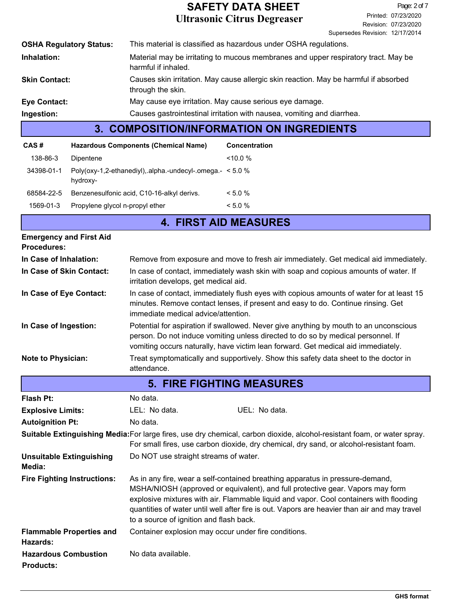|                                | <b>COMPOSITION/INFORMATION ON INGREDIENTS</b><br>3.                                                       |
|--------------------------------|-----------------------------------------------------------------------------------------------------------|
| Ingestion:                     | Causes gastrointestinal irritation with nausea, vomiting and diarrhea.                                    |
| <b>Eye Contact:</b>            | May cause eye irritation. May cause serious eye damage.                                                   |
| <b>Skin Contact:</b>           | Causes skin irritation. May cause allergic skin reaction. May be harmful if absorbed<br>through the skin. |
| Inhalation:                    | Material may be irritating to mucous membranes and upper respiratory tract. May be<br>harmful if inhaled. |
| <b>OSHA Regulatory Status:</b> | This material is classified as hazardous under OSHA regulations.                                          |

| CAS #      | <b>Hazardous Components (Chemical Name)</b>                              | <b>Concentration</b> |
|------------|--------------------------------------------------------------------------|----------------------|
| 138-86-3   | Dipentene                                                                | $<10.0\%$            |
| 34398-01-1 | Poly(oxy-1,2-ethanediyl), alpha.-undecyl-.omega. $-$ < 5.0 %<br>hydroxy- |                      |
| 68584-22-5 | Benzenesulfonic acid, C10-16-alkyl derivs.                               | $< 5.0 \%$           |
| 1569-01-3  | Propylene glycol n-propyl ether                                          | $< 5.0\%$            |

## **4. FIRST AID MEASURES**

| <b>Emergency and First Aid</b><br><b>Procedures:</b> |                                                                                                                                                                                                                                                                |
|------------------------------------------------------|----------------------------------------------------------------------------------------------------------------------------------------------------------------------------------------------------------------------------------------------------------------|
| In Case of Inhalation:                               | Remove from exposure and move to fresh air immediately. Get medical aid immediately.                                                                                                                                                                           |
| In Case of Skin Contact:                             | In case of contact, immediately wash skin with soap and copious amounts of water. If<br>irritation develops, get medical aid.                                                                                                                                  |
| In Case of Eye Contact:                              | In case of contact, immediately flush eyes with copious amounts of water for at least 15<br>minutes. Remove contact lenses, if present and easy to do. Continue rinsing. Get<br>immediate medical advice/attention.                                            |
| In Case of Ingestion:                                | Potential for aspiration if swallowed. Never give anything by mouth to an unconscious<br>person. Do not induce vomiting unless directed to do so by medical personnel. If<br>vomiting occurs naturally, have victim lean forward. Get medical aid immediately. |
| <b>Note to Physician:</b>                            | Treat symptomatically and supportively. Show this safety data sheet to the doctor in<br>attendance.                                                                                                                                                            |
|                                                      | <b>FIRE FIGHTING MEASURES</b><br>Б.                                                                                                                                                                                                                            |

| 0. TINE FIOITING MEAGOINEG                      |                                                      |                                                                                                                                                                                                                                                                                                                                                           |  |  |
|-------------------------------------------------|------------------------------------------------------|-----------------------------------------------------------------------------------------------------------------------------------------------------------------------------------------------------------------------------------------------------------------------------------------------------------------------------------------------------------|--|--|
| <b>Flash Pt:</b>                                | No data.                                             |                                                                                                                                                                                                                                                                                                                                                           |  |  |
| <b>Explosive Limits:</b>                        | LEL: No data.                                        | UEL: No data.                                                                                                                                                                                                                                                                                                                                             |  |  |
| <b>Autoignition Pt:</b>                         | No data.                                             |                                                                                                                                                                                                                                                                                                                                                           |  |  |
|                                                 |                                                      | Suitable Extinguishing Media: For large fires, use dry chemical, carbon dioxide, alcohol-resistant foam, or water spray.<br>For small fires, use carbon dioxide, dry chemical, dry sand, or alcohol-resistant foam.                                                                                                                                       |  |  |
| <b>Unsuitable Extinguishing</b><br>Media:       | Do NOT use straight streams of water.                |                                                                                                                                                                                                                                                                                                                                                           |  |  |
| <b>Fire Fighting Instructions:</b>              | to a source of ignition and flash back.              | As in any fire, wear a self-contained breathing apparatus in pressure-demand,<br>MSHA/NIOSH (approved or equivalent), and full protective gear. Vapors may form<br>explosive mixtures with air. Flammable liquid and vapor. Cool containers with flooding<br>quantities of water until well after fire is out. Vapors are heavier than air and may travel |  |  |
| <b>Flammable Properties and</b><br>Hazards:     | Container explosion may occur under fire conditions. |                                                                                                                                                                                                                                                                                                                                                           |  |  |
| <b>Hazardous Combustion</b><br><b>Products:</b> | No data available.                                   |                                                                                                                                                                                                                                                                                                                                                           |  |  |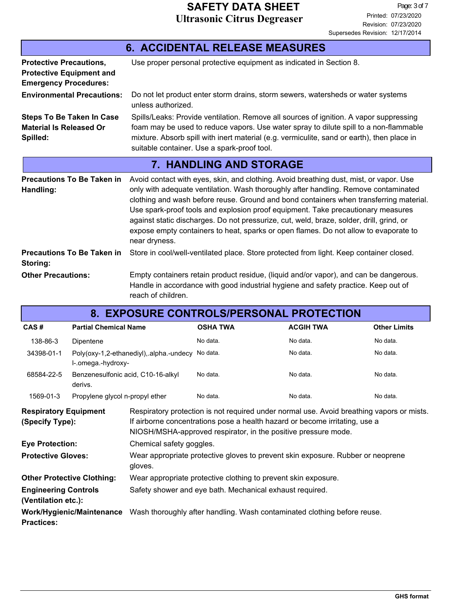| <b>6. ACCIDENTAL RELEASE MEASURES</b>                                                             |                                                                                                                                                                                                                                                                                                                                                                                                                                                                                                                                                                  |  |  |  |  |
|---------------------------------------------------------------------------------------------------|------------------------------------------------------------------------------------------------------------------------------------------------------------------------------------------------------------------------------------------------------------------------------------------------------------------------------------------------------------------------------------------------------------------------------------------------------------------------------------------------------------------------------------------------------------------|--|--|--|--|
| <b>Protective Precautions,</b><br><b>Protective Equipment and</b><br><b>Emergency Procedures:</b> | Use proper personal protective equipment as indicated in Section 8.                                                                                                                                                                                                                                                                                                                                                                                                                                                                                              |  |  |  |  |
| <b>Environmental Precautions:</b>                                                                 | Do not let product enter storm drains, storm sewers, watersheds or water systems<br>unless authorized.                                                                                                                                                                                                                                                                                                                                                                                                                                                           |  |  |  |  |
| <b>Steps To Be Taken In Case</b><br><b>Material Is Released Or</b><br>Spilled:                    | Spills/Leaks: Provide ventilation. Remove all sources of ignition. A vapor suppressing<br>foam may be used to reduce vapors. Use water spray to dilute spill to a non-flammable<br>mixture. Absorb spill with inert material (e.g. vermiculite, sand or earth), then place in<br>suitable container. Use a spark-proof tool.                                                                                                                                                                                                                                     |  |  |  |  |
|                                                                                                   | <b>7. HANDLING AND STORAGE</b>                                                                                                                                                                                                                                                                                                                                                                                                                                                                                                                                   |  |  |  |  |
| <b>Precautions To Be Taken in</b><br>Handling:                                                    | Avoid contact with eyes, skin, and clothing. Avoid breathing dust, mist, or vapor. Use<br>only with adequate ventilation. Wash thoroughly after handling. Remove contaminated<br>clothing and wash before reuse. Ground and bond containers when transferring material.<br>Use spark-proof tools and explosion proof equipment. Take precautionary measures<br>against static discharges. Do not pressurize, cut, weld, braze, solder, drill, grind, or<br>expose empty containers to heat, sparks or open flames. Do not allow to evaporate to<br>near dryness. |  |  |  |  |
| <b>Precautions To Be Taken in</b><br>Storing:                                                     | Store in cool/well-ventilated place. Store protected from light. Keep container closed.                                                                                                                                                                                                                                                                                                                                                                                                                                                                          |  |  |  |  |
| <b>Other Precautions:</b>                                                                         | Empty containers retain product residue, (liquid and/or vapor), and can be dangerous.<br>Handle in accordance with good industrial hygiene and safety practice. Keep out of<br>reach of children.                                                                                                                                                                                                                                                                                                                                                                |  |  |  |  |

| <b>8. EXPOSURE CONTROLS/PERSONAL PROTECTION</b>                                                                                |                                                                        |                                                                                                                                                                                                                                            |                 |                  |                     |  |
|--------------------------------------------------------------------------------------------------------------------------------|------------------------------------------------------------------------|--------------------------------------------------------------------------------------------------------------------------------------------------------------------------------------------------------------------------------------------|-----------------|------------------|---------------------|--|
| CAS#                                                                                                                           | <b>Partial Chemical Name</b>                                           |                                                                                                                                                                                                                                            | <b>OSHA TWA</b> | <b>ACGIH TWA</b> | <b>Other Limits</b> |  |
| 138-86-3                                                                                                                       | Dipentene                                                              |                                                                                                                                                                                                                                            | No data.        | No data.         | No data.            |  |
| 34398-01-1                                                                                                                     | Poly(oxy-1,2-ethanediyl), alpha.-undecy No data.<br>l-.omega.-hydroxy- |                                                                                                                                                                                                                                            |                 | No data.         | No data.            |  |
| 68584-22-5                                                                                                                     | Benzenesulfonic acid, C10-16-alkyl<br>derivs.                          |                                                                                                                                                                                                                                            | No data.        | No data.         | No data.            |  |
| 1569-01-3                                                                                                                      | Propylene glycol n-propyl ether                                        |                                                                                                                                                                                                                                            | No data.        | No data.         | No data.            |  |
| <b>Respiratory Equipment</b><br>(Specify Type):                                                                                |                                                                        | Respiratory protection is not required under normal use. Avoid breathing vapors or mists.<br>If airborne concentrations pose a health hazard or become irritating, use a<br>NIOSH/MSHA-approved respirator, in the positive pressure mode. |                 |                  |                     |  |
| <b>Eye Protection:</b>                                                                                                         |                                                                        | Chemical safety goggles.                                                                                                                                                                                                                   |                 |                  |                     |  |
| <b>Protective Gloves:</b>                                                                                                      |                                                                        | Wear appropriate protective gloves to prevent skin exposure. Rubber or neoprene<br>gloves.                                                                                                                                                 |                 |                  |                     |  |
| <b>Other Protective Clothing:</b>                                                                                              |                                                                        | Wear appropriate protective clothing to prevent skin exposure.                                                                                                                                                                             |                 |                  |                     |  |
| <b>Engineering Controls</b><br>(Ventilation etc.):                                                                             |                                                                        | Safety shower and eye bath. Mechanical exhaust required.                                                                                                                                                                                   |                 |                  |                     |  |
| <b>Work/Hygienic/Maintenance</b> Wash thoroughly after handling. Wash contaminated clothing before reuse.<br><b>Practices:</b> |                                                                        |                                                                                                                                                                                                                                            |                 |                  |                     |  |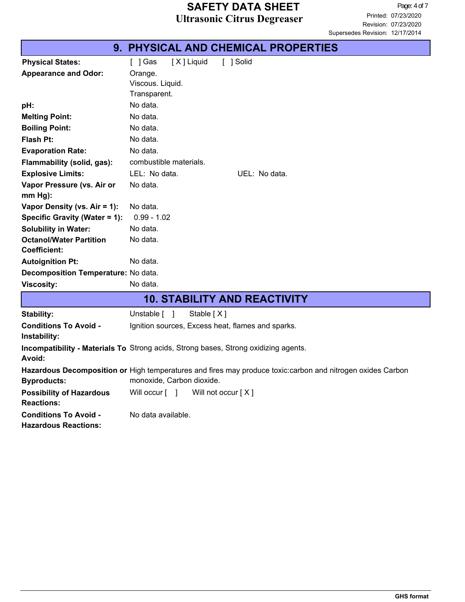|                                                             | 9. PHYSICAL AND CHEMICAL PROPERTIES                                                                                                     |
|-------------------------------------------------------------|-----------------------------------------------------------------------------------------------------------------------------------------|
| <b>Physical States:</b>                                     | [X] Liquid<br>[ ] Solid<br>$[$ ] Gas                                                                                                    |
| <b>Appearance and Odor:</b>                                 | Orange.                                                                                                                                 |
|                                                             | Viscous. Liquid.                                                                                                                        |
|                                                             | Transparent.                                                                                                                            |
| pH:                                                         | No data.                                                                                                                                |
| <b>Melting Point:</b>                                       | No data.                                                                                                                                |
| <b>Boiling Point:</b>                                       | No data.                                                                                                                                |
| <b>Flash Pt:</b>                                            | No data.                                                                                                                                |
| <b>Evaporation Rate:</b>                                    | No data.                                                                                                                                |
| Flammability (solid, gas):                                  | combustible materials.                                                                                                                  |
| <b>Explosive Limits:</b>                                    | LEL: No data.<br>UEL: No data.                                                                                                          |
| Vapor Pressure (vs. Air or                                  | No data.                                                                                                                                |
| $mm Hg$ :                                                   |                                                                                                                                         |
| Vapor Density (vs. Air = 1):                                | No data.                                                                                                                                |
| Specific Gravity (Water = 1):                               | $0.99 - 1.02$                                                                                                                           |
| <b>Solubility in Water:</b>                                 | No data.                                                                                                                                |
| <b>Octanol/Water Partition</b>                              | No data.                                                                                                                                |
| <b>Coefficient:</b>                                         |                                                                                                                                         |
| <b>Autoignition Pt:</b>                                     | No data.                                                                                                                                |
| Decomposition Temperature: No data.                         |                                                                                                                                         |
| <b>Viscosity:</b>                                           | No data.                                                                                                                                |
|                                                             | <b>10. STABILITY AND REACTIVITY</b>                                                                                                     |
| Stability:                                                  | Unstable [ ]<br>Stable $[X]$                                                                                                            |
| <b>Conditions To Avoid -</b><br>Instability:                | Ignition sources, Excess heat, flames and sparks.                                                                                       |
| Avoid:                                                      | <b>Incompatibility - Materials To Strong acids, Strong bases, Strong oxidizing agents.</b>                                              |
| <b>Byproducts:</b>                                          | Hazardous Decomposition or High temperatures and fires may produce toxic:carbon and nitrogen oxides Carbon<br>monoxide, Carbon dioxide. |
| <b>Possibility of Hazardous</b><br><b>Reactions:</b>        | Will not occur [X]<br>Will occur $\lceil \quad \rceil$                                                                                  |
| <b>Conditions To Avoid -</b><br><b>Hazardous Reactions:</b> | No data available.                                                                                                                      |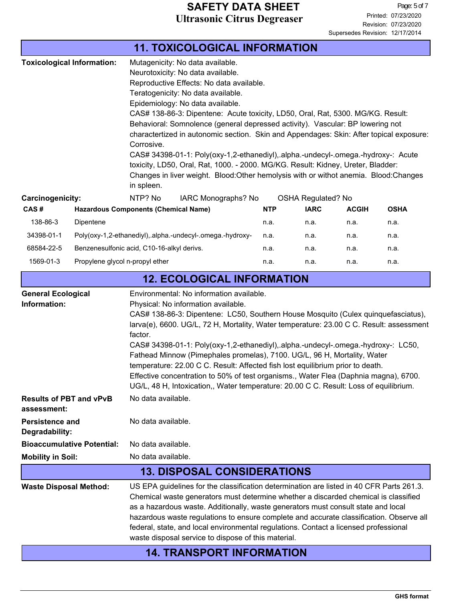|                                                                                                                                                                                                                                                                                                                                                                                                                                                                                                                                                                                                                                                                                                                                                             |                                             |                    | <b>11. TOXICOLOGICAL INFORMATION</b>                                                                                                                                                                                                                                                                                                                                                                                                                                                                           |                                                                                                                                                                                                                                                                                                                                                                                                                                                                                                                                |                           |              |             |
|-------------------------------------------------------------------------------------------------------------------------------------------------------------------------------------------------------------------------------------------------------------------------------------------------------------------------------------------------------------------------------------------------------------------------------------------------------------------------------------------------------------------------------------------------------------------------------------------------------------------------------------------------------------------------------------------------------------------------------------------------------------|---------------------------------------------|--------------------|----------------------------------------------------------------------------------------------------------------------------------------------------------------------------------------------------------------------------------------------------------------------------------------------------------------------------------------------------------------------------------------------------------------------------------------------------------------------------------------------------------------|--------------------------------------------------------------------------------------------------------------------------------------------------------------------------------------------------------------------------------------------------------------------------------------------------------------------------------------------------------------------------------------------------------------------------------------------------------------------------------------------------------------------------------|---------------------------|--------------|-------------|
| <b>Toxicological Information:</b><br>Mutagenicity: No data available.<br>Neurotoxicity: No data available.<br>Reproductive Effects: No data available.<br>Teratogenicity: No data available.<br>Epidemiology: No data available.<br>Corrosive.<br>in spleen.                                                                                                                                                                                                                                                                                                                                                                                                                                                                                                |                                             |                    |                                                                                                                                                                                                                                                                                                                                                                                                                                                                                                                | CAS# 138-86-3: Dipentene: Acute toxicity, LD50, Oral, Rat, 5300. MG/KG. Result:<br>Behavioral: Somnolence (general depressed activity). Vascular: BP lowering not<br>charactertized in autonomic section. Skin and Appendages: Skin: After topical exposure:<br>CAS# 34398-01-1: Poly(oxy-1,2-ethanediyl), alpha.-undecyl-.omega.-hydroxy-: Acute<br>toxicity, LD50, Oral, Rat, 1000. - 2000. MG/KG. Result: Kidney, Ureter, Bladder:<br>Changes in liver weight. Blood: Other hemolysis with or withot anemia. Blood: Changes |                           |              |             |
| Carcinogenicity:                                                                                                                                                                                                                                                                                                                                                                                                                                                                                                                                                                                                                                                                                                                                            |                                             | NTP? No            | IARC Monographs? No                                                                                                                                                                                                                                                                                                                                                                                                                                                                                            |                                                                                                                                                                                                                                                                                                                                                                                                                                                                                                                                | <b>OSHA Regulated? No</b> |              |             |
| CAS#                                                                                                                                                                                                                                                                                                                                                                                                                                                                                                                                                                                                                                                                                                                                                        | <b>Hazardous Components (Chemical Name)</b> |                    |                                                                                                                                                                                                                                                                                                                                                                                                                                                                                                                | <b>NTP</b>                                                                                                                                                                                                                                                                                                                                                                                                                                                                                                                     | <b>IARC</b>               | <b>ACGIH</b> | <b>OSHA</b> |
| 138-86-3                                                                                                                                                                                                                                                                                                                                                                                                                                                                                                                                                                                                                                                                                                                                                    | Dipentene                                   |                    |                                                                                                                                                                                                                                                                                                                                                                                                                                                                                                                | n.a.                                                                                                                                                                                                                                                                                                                                                                                                                                                                                                                           | n.a.                      | n.a.         | n.a.        |
| 34398-01-1                                                                                                                                                                                                                                                                                                                                                                                                                                                                                                                                                                                                                                                                                                                                                  |                                             |                    | Poly(oxy-1,2-ethanediyl), alpha.-undecyl-.omega.-hydroxy-                                                                                                                                                                                                                                                                                                                                                                                                                                                      | n.a.                                                                                                                                                                                                                                                                                                                                                                                                                                                                                                                           | n.a.                      | n.a.         | n.a.        |
| 68584-22-5                                                                                                                                                                                                                                                                                                                                                                                                                                                                                                                                                                                                                                                                                                                                                  | Benzenesulfonic acid, C10-16-alkyl derivs.  |                    |                                                                                                                                                                                                                                                                                                                                                                                                                                                                                                                | n.a.                                                                                                                                                                                                                                                                                                                                                                                                                                                                                                                           | n.a.                      | n.a.         | n.a.        |
| 1569-01-3                                                                                                                                                                                                                                                                                                                                                                                                                                                                                                                                                                                                                                                                                                                                                   | Propylene glycol n-propyl ether             |                    |                                                                                                                                                                                                                                                                                                                                                                                                                                                                                                                | n.a.                                                                                                                                                                                                                                                                                                                                                                                                                                                                                                                           | n.a.                      | n.a.         | n.a.        |
|                                                                                                                                                                                                                                                                                                                                                                                                                                                                                                                                                                                                                                                                                                                                                             | <b>12. ECOLOGICAL INFORMATION</b>           |                    |                                                                                                                                                                                                                                                                                                                                                                                                                                                                                                                |                                                                                                                                                                                                                                                                                                                                                                                                                                                                                                                                |                           |              |             |
| <b>General Ecological</b><br>Environmental: No information available.<br>Information:<br>Physical: No information available.<br>CAS# 138-86-3: Dipentene: LC50, Southern House Mosquito (Culex quinquefasciatus),<br>larva(e), 6600. UG/L, 72 H, Mortality, Water temperature: 23.00 C C. Result: assessment<br>factor.<br>CAS# 34398-01-1: Poly(oxy-1,2-ethanediyl),.alpha.-undecyl-.omega.-hydroxy-: LC50,<br>Fathead Minnow (Pimephales promelas), 7100. UG/L, 96 H, Mortality, Water<br>temperature: 22.00 C C. Result: Affected fish lost equilibrium prior to death.<br>Effective concentration to 50% of test organisms., Water Flea (Daphnia magna), 6700.<br>UG/L, 48 H, Intoxication,, Water temperature: 20.00 C C. Result: Loss of equilibrium. |                                             |                    |                                                                                                                                                                                                                                                                                                                                                                                                                                                                                                                |                                                                                                                                                                                                                                                                                                                                                                                                                                                                                                                                |                           |              |             |
| <b>Results of PBT and vPvB</b><br>assessment:                                                                                                                                                                                                                                                                                                                                                                                                                                                                                                                                                                                                                                                                                                               |                                             | No data available. |                                                                                                                                                                                                                                                                                                                                                                                                                                                                                                                |                                                                                                                                                                                                                                                                                                                                                                                                                                                                                                                                |                           |              |             |
| Persistence and<br>Degradability:                                                                                                                                                                                                                                                                                                                                                                                                                                                                                                                                                                                                                                                                                                                           |                                             | No data available. |                                                                                                                                                                                                                                                                                                                                                                                                                                                                                                                |                                                                                                                                                                                                                                                                                                                                                                                                                                                                                                                                |                           |              |             |
|                                                                                                                                                                                                                                                                                                                                                                                                                                                                                                                                                                                                                                                                                                                                                             | <b>Bioaccumulative Potential:</b>           | No data available. |                                                                                                                                                                                                                                                                                                                                                                                                                                                                                                                |                                                                                                                                                                                                                                                                                                                                                                                                                                                                                                                                |                           |              |             |
| No data available.<br><b>Mobility in Soil:</b>                                                                                                                                                                                                                                                                                                                                                                                                                                                                                                                                                                                                                                                                                                              |                                             |                    |                                                                                                                                                                                                                                                                                                                                                                                                                                                                                                                |                                                                                                                                                                                                                                                                                                                                                                                                                                                                                                                                |                           |              |             |
|                                                                                                                                                                                                                                                                                                                                                                                                                                                                                                                                                                                                                                                                                                                                                             |                                             |                    | <b>13. DISPOSAL CONSIDERATIONS</b>                                                                                                                                                                                                                                                                                                                                                                                                                                                                             |                                                                                                                                                                                                                                                                                                                                                                                                                                                                                                                                |                           |              |             |
| <b>Waste Disposal Method:</b>                                                                                                                                                                                                                                                                                                                                                                                                                                                                                                                                                                                                                                                                                                                               |                                             |                    | US EPA guidelines for the classification determination are listed in 40 CFR Parts 261.3.<br>Chemical waste generators must determine whether a discarded chemical is classified<br>as a hazardous waste. Additionally, waste generators must consult state and local<br>hazardous waste regulations to ensure complete and accurate classification. Observe all<br>federal, state, and local environmental regulations. Contact a licensed professional<br>waste disposal service to dispose of this material. |                                                                                                                                                                                                                                                                                                                                                                                                                                                                                                                                |                           |              |             |
|                                                                                                                                                                                                                                                                                                                                                                                                                                                                                                                                                                                                                                                                                                                                                             |                                             |                    | <b>14. TRANSPORT INFORMATION</b>                                                                                                                                                                                                                                                                                                                                                                                                                                                                               |                                                                                                                                                                                                                                                                                                                                                                                                                                                                                                                                |                           |              |             |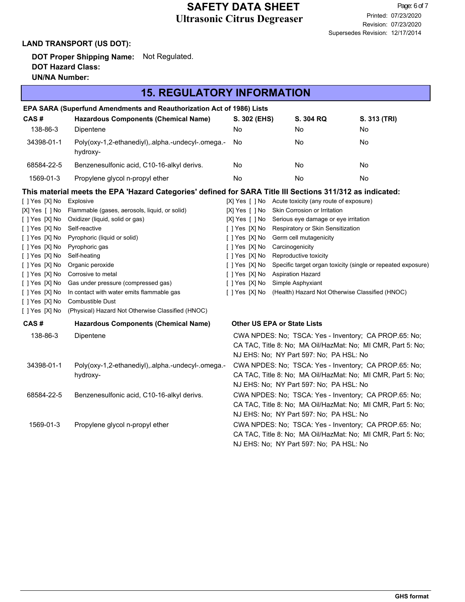#### **LAND TRANSPORT (US DOT):**

**DOT Proper Shipping Name:** Not Regulated. **DOT Hazard Class: UN/NA Number:**

#### **15. REGULATORY INFORMATION**

|                | EPA SARA (Superfund Amendments and Reauthorization Act of 1986) Lists                                     |                |                                                       |                                                              |
|----------------|-----------------------------------------------------------------------------------------------------------|----------------|-------------------------------------------------------|--------------------------------------------------------------|
| CAS#           | <b>Hazardous Components (Chemical Name)</b>                                                               | S. 302 (EHS)   | S. 304 RQ                                             | S. 313 (TRI)                                                 |
| 138-86-3       | Dipentene                                                                                                 | No             | No                                                    | No                                                           |
| 34398-01-1     | Poly(oxy-1,2-ethanediyl), alpha.-undecyl-.omega.-<br>hydroxy-                                             | No             | No.                                                   | No                                                           |
| 68584-22-5     | Benzenesulfonic acid, C10-16-alkyl derivs.                                                                | No             | No                                                    | No                                                           |
| 1569-01-3      | Propylene glycol n-propyl ether                                                                           | No             | No                                                    | No                                                           |
|                | This material meets the EPA 'Hazard Categories' defined for SARA Title III Sections 311/312 as indicated: |                |                                                       |                                                              |
| [ ] Yes [X] No | Explosive                                                                                                 |                | [X] Yes [ ] No Acute toxicity (any route of exposure) |                                                              |
| [X] Yes [ ] No | Flammable (gases, aerosols, liquid, or solid)                                                             | [X] Yes [ ] No | Skin Corrosion or Irritation                          |                                                              |
| [ ] Yes [X] No | Oxidizer (liquid, solid or gas)                                                                           | [X] Yes [ ] No | Serious eye damage or eye irritation                  |                                                              |
| [ ] Yes [X] No | Self-reactive                                                                                             | [ ] Yes [X] No | Respiratory or Skin Sensitization                     |                                                              |
| [ ] Yes [X] No | Pyrophoric (liquid or solid)                                                                              | [ ] Yes [X] No | Germ cell mutagenicity                                |                                                              |
| [ ] Yes [X] No | Pyrophoric gas                                                                                            | [ ] Yes [X] No | Carcinogenicity                                       |                                                              |
| [ ] Yes [X] No | Self-heating                                                                                              | [ ] Yes [X] No | Reproductive toxicity                                 |                                                              |
| [ ] Yes [X] No | Organic peroxide                                                                                          | [ ] Yes [X] No |                                                       | Specific target organ toxicity (single or repeated exposure) |
| [ ] Yes [X] No | Corrosive to metal                                                                                        | [ ] Yes [X] No | <b>Aspiration Hazard</b>                              |                                                              |
| [ ] Yes [X] No | Gas under pressure (compressed gas)                                                                       | [ ] Yes [X] No | Simple Asphyxiant                                     |                                                              |
| [ ] Yes [X] No | In contact with water emits flammable gas                                                                 | [ ] Yes [X] No | (Health) Hazard Not Otherwise Classified (HNOC)       |                                                              |
| [ ] Yes [X] No | Combustible Dust                                                                                          |                |                                                       |                                                              |
| [ ] Yes [X] No | (Physical) Hazard Not Otherwise Classified (HNOC)                                                         |                |                                                       |                                                              |
| CAS#           | <b>Hazardous Components (Chemical Name)</b>                                                               |                | <b>Other US EPA or State Lists</b>                    |                                                              |
| 138-86-3       | Dipentene                                                                                                 |                |                                                       | CWA NPDES: No; TSCA: Yes - Inventory; CA PROP.65: No;        |
|                |                                                                                                           |                |                                                       | CA TAC, Title 8: No; MA Oil/HazMat: No; MI CMR, Part 5: No;  |
|                |                                                                                                           |                | NJ EHS: No; NY Part 597: No; PA HSL: No               |                                                              |
| 34398-01-1     | Poly(oxy-1,2-ethanediyl),.alpha.-undecyl-.omega.-                                                         |                |                                                       | CWA NPDES: No; TSCA: Yes - Inventory; CA PROP.65: No;        |
|                | hydroxy-                                                                                                  |                |                                                       | CA TAC, Title 8: No; MA Oil/HazMat: No; MI CMR, Part 5: No;  |
|                |                                                                                                           |                | NJ EHS: No; NY Part 597: No; PA HSL: No               |                                                              |
| 68584-22-5     | Benzenesulfonic acid, C10-16-alkyl derivs.                                                                |                |                                                       | CWA NPDES: No; TSCA: Yes - Inventory; CA PROP.65: No;        |
|                |                                                                                                           |                |                                                       | CA TAC, Title 8: No; MA Oil/HazMat: No; MI CMR, Part 5: No;  |
|                |                                                                                                           |                | NJ EHS: No; NY Part 597: No; PA HSL: No               |                                                              |
| 1569-01-3      | Propylene glycol n-propyl ether                                                                           |                |                                                       | CWA NPDES: No; TSCA: Yes - Inventory; CA PROP.65: No;        |
|                |                                                                                                           |                |                                                       | CA TAC, Title 8: No; MA Oil/HazMat: No; MI CMR, Part 5: No;  |
|                |                                                                                                           |                |                                                       |                                                              |
|                |                                                                                                           |                | NJ EHS: No; NY Part 597: No; PA HSL: No               |                                                              |